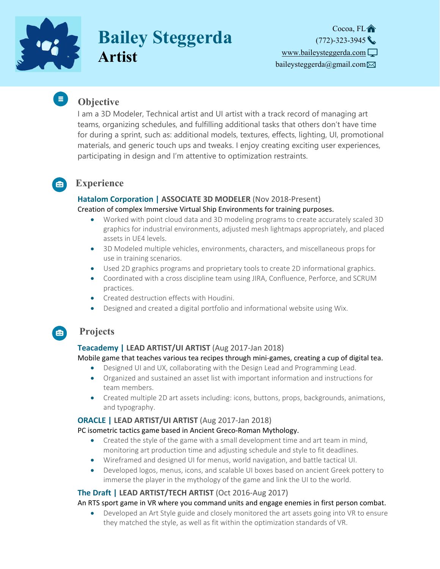

 $\equiv$  )

# **Bailey Steggerda Artist**

Cocoa, FL<sup>A</sup>  $(772) - 323 - 3945$ [www.baileysteggerda.com](https://www.baileysteggerda.com/)  baileysteggerda@gmail.com $\boxtimes$ 

# **Objective**

I am a 3D Modeler, Technical artist and UI artist with a track record of managing art teams, organizing schedules, and fulfilling additional tasks that others don't have time for during a sprint, such as: additional models, textures, effects, lighting, UI, promotional materials, and generic touch ups and tweaks. I enjoy creating exciting user experiences, participating in design and I'm attentive to optimization restraints.

#### **Experience**   $\blacksquare$

#### **Hatalom Corporation | ASSOCIATE 3D MODELER** (Nov 2018‐Present) Creation of complex Immersive Virtual Ship Environments for training purposes.

- Worked with point cloud data and 3D modeling programs to create accurately scaled 3D graphics for industrial environments, adjusted mesh lightmaps appropriately, and placed assets in UE4 levels.
- 3D Modeled multiple vehicles, environments, characters, and miscellaneous props for use in training scenarios.
- Used 2D graphics programs and proprietary tools to create 2D informational graphics.
- Coordinated with a cross discipline team using JIRA, Confluence, Perforce, and SCRUM practices.
- Created destruction effects with Houdini.
- Designed and created a digital portfolio and informational website using Wix.

## **Projects**

 $\epsilon$ 

#### **Teacademy | LEAD ARTIST/UI ARTIST** (Aug 2017‐Jan 2018)

Mobile game that teaches various tea recipes through mini‐games, creating a cup of digital tea.

- Designed UI and UX, collaborating with the Design Lead and Programming Lead.
- Organized and sustained an asset list with important information and instructions for team members.
- Created multiple 2D art assets including: icons, buttons, props, backgrounds, animations, and typography.

## **ORACLE | LEAD ARTIST/UI ARTIST** (Aug 2017‐Jan 2018)

#### PC isometric tactics game based in Ancient Greco‐Roman Mythology.

- Created the style of the game with a small development time and art team in mind, monitoring art production time and adjusting schedule and style to fit deadlines.
- Wireframed and designed UI for menus, world navigation, and battle tactical UI.
- Developed logos, menus, icons, and scalable UI boxes based on ancient Greek pottery to immerse the player in the mythology of the game and link the UI to the world.

## **The Draft | LEAD ARTIST/TECH ARTIST** (Oct 2016‐Aug 2017)

## An RTS sport game in VR where you command units and engage enemies in first person combat.

 Developed an Art Style guide and closely monitored the art assets going into VR to ensure they matched the style, as well as fit within the optimization standards of VR.